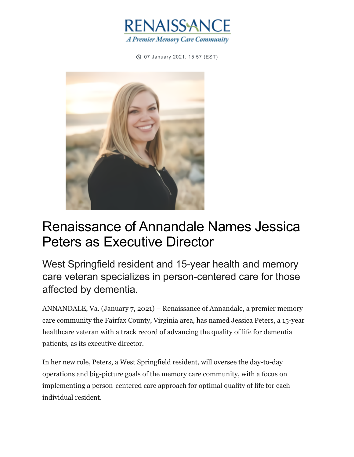

07 January 2021, 15:57 (EST) ⏲



## Renaissance of Annandale Names Jessica Peters as Executive Director

West Springfield resident and 15-year health and memory care veteran specializes in person-centered care for those affected by dementia.

ANNANDALE, Va. (January 7, 2021) – Renaissance of Annandale, a premier memory care community the Fairfax County, Virginia area, has named Jessica Peters, a 15-year healthcare veteran with a track record of advancing the quality of life for dementia patients, as its executive director.

In her new role, Peters, a West Springfield resident, will oversee the day-to-day operations and big-picture goals of the memory care community, with a focus on implementing a person-centered care approach for optimal quality of life for each individual resident.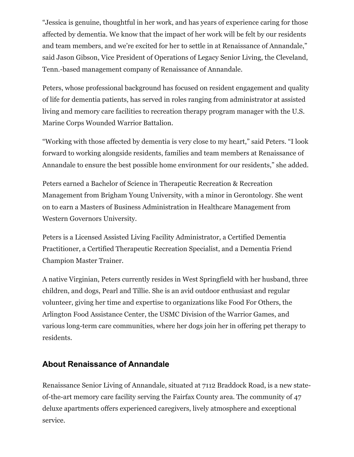"Jessica is genuine, thoughtful in her work, and has years of experience caring for those affected by dementia. We know that the impact of her work will be felt by our residents and team members, and we're excited for her to settle in at Renaissance of Annandale," said Jason Gibson, Vice President of Operations of Legacy Senior Living, the Cleveland, Tenn.-based management company of Renaissance of Annandale.

Peters, whose professional background has focused on resident engagement and quality of life for dementia patients, has served in roles ranging from administrator at assisted living and memory care facilities to recreation therapy program manager with the U.S. Marine Corps Wounded Warrior Battalion.

"Working with those affected by dementia is very close to my heart," said Peters. "I look forward to working alongside residents, families and team members at Renaissance of Annandale to ensure the best possible home environment for our residents," she added.

Peters earned a Bachelor of Science in Therapeutic Recreation & Recreation Management from Brigham Young University, with a minor in Gerontology. She went on to earn a Masters of Business Administration in Healthcare Management from Western Governors University.

Peters is a Licensed Assisted Living Facility Administrator, a Certified Dementia Practitioner, a Certified Therapeutic Recreation Specialist, and a Dementia Friend Champion Master Trainer.

A native Virginian, Peters currently resides in West Springfield with her husband, three children, and dogs, Pearl and Tillie. She is an avid outdoor enthusiast and regular volunteer, giving her time and expertise to organizations like Food For Others, the Arlington Food Assistance Center, the USMC Division of the Warrior Games, and various long-term care communities, where her dogs join her in offering pet therapy to residents.

## **About Renaissance of Annandale**

Renaissance Senior Living of Annandale, situated at 7112 Braddock Road, is a new stateof-the-art memory care facility serving the Fairfax County area. The community of 47 deluxe apartments offers experienced caregivers, lively atmosphere and exceptional service.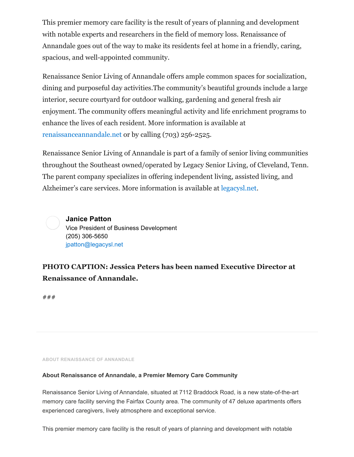This premier memory care facility is the result of years of planning and development with notable experts and researchers in the field of memory loss. Renaissance of Annandale goes out of the way to make its residents feel at home in a friendly, caring, spacious, and well-appointed community.

Renaissance Senior Living of Annandale offers ample common spaces for socialization, dining and purposeful day activities.The community's beautiful grounds include a large interior, secure courtyard for outdoor walking, gardening and general fresh air enjoyment. The community offers meaningful activity and life enrichment programs to enhance the lives of each resident. More information is available at [renaissanceannandale.net](http://www.renaissanceannandale.net/) or by calling (703) 256-2525.

Renaissance Senior Living of Annandale is part of a family of senior living communities throughout the Southeast owned/operated by Legacy Senior Living, of Cleveland, Tenn. The parent company specializes in offering independent living, assisted living, and Alzheimer's care services. More information is available at [legacysl.net.](http://legacysl.net/)

**Janice Patton** Vice President of Business Development (205) 306-5650 [jpatton@legacysl.net](mailto:jpatton@legacysl.net)

**PHOTO CAPTION: Jessica Peters has been named Executive Director at Renaissance of Annandale.**

###

**ABOUT RENAISSANCE OF ANNANDALE**

## **About Renaissance of Annandale, a Premier Memory Care Community**

Renaissance Senior Living of Annandale, situated at 7112 Braddock Road, is a new state-of-the-art memory care facility serving the Fairfax County area. The community of 47 deluxe apartments offers experienced caregivers, lively atmosphere and exceptional service.

This premier memory care facility is the result of years of planning and development with notable